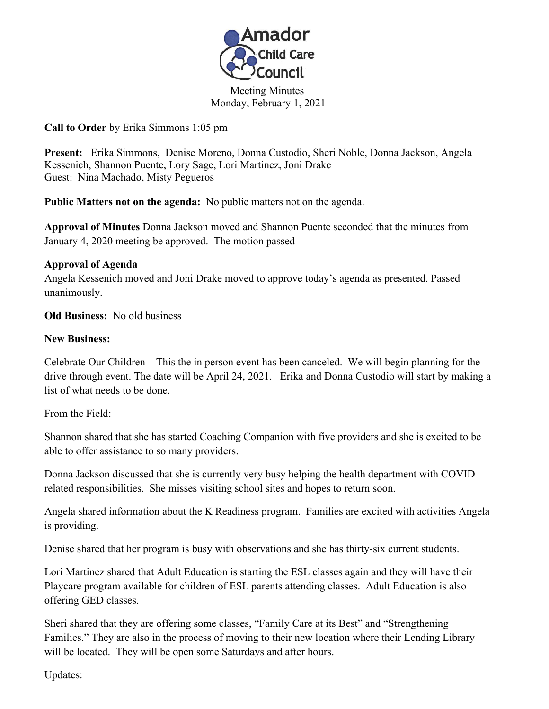

Meeting Minutes| Monday, February 1, 2021

**Call to Order** by Erika Simmons 1:05 pm

**Present:** Erika Simmons, Denise Moreno, Donna Custodio, Sheri Noble, Donna Jackson, Angela Kessenich, Shannon Puente, Lory Sage, Lori Martinez, Joni Drake Guest: Nina Machado, Misty Pegueros

**Public Matters not on the agenda:** No public matters not on the agenda. **Approval of Minutes** Donna Jackson moved and Shannon Puente seconded that the minutes from January 4, 2020 meeting be approved. The motion passed

## **Approval of Agenda**

Angela Kessenich moved and Joni Drake moved to approve today's agenda as presented. Passed unanimously.

**Old Business:** No old business

## **New Business:**

Celebrate Our Children – This the in person event has been canceled. We will begin planning for the drive through event. The date will be April 24, 2021. Erika and Donna Custodio will start by making a list of what needs to be done.

From the Field:

Shannon shared that she has started Coaching Companion with five providers and she is excited to be able to offer assistance to so many providers.

Donna Jackson discussed that she is currently very busy helping the health department with COVID related responsibilities. She misses visiting school sites and hopes to return soon.

Angela shared information about the K Readiness program. Families are excited with activities Angela is providing.

Denise shared that her program is busy with observations and she has thirty-six current students.

Lori Martinez shared that Adult Education is starting the ESL classes again and they will have their Playcare program available for children of ESL parents attending classes. Adult Education is also offering GED classes.

Sheri shared that they are offering some classes, "Family Care at its Best" and "Strengthening Families." They are also in the process of moving to their new location where their Lending Library will be located. They will be open some Saturdays and after hours.

Updates: